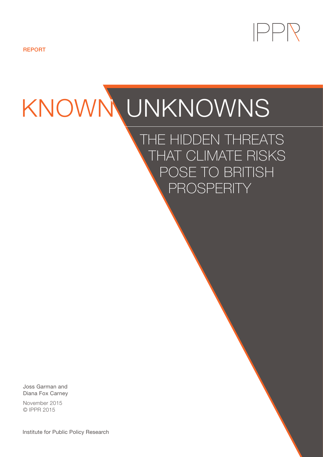

REPORT

# KNOWN UNKNOWNS

THE HIDDEN THREATS THAT CLIMATE RISKS POSE TO BRITISH PROSPERITY

Joss Garman and Diana Fox Carney

November 2015 © IPPR 2015

Institute for Public Policy Research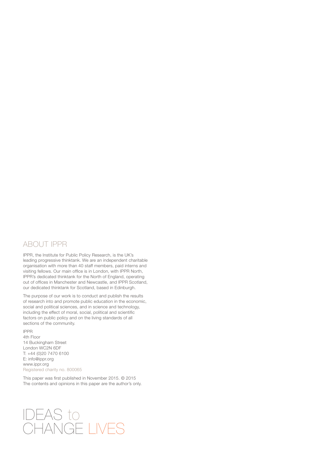# ABOUT IPPR

IPPR, the Institute for Public Policy Research, is the UK's leading progressive thinktank. We are an independent charitable organisation with more than 40 staff members, paid interns and visiting fellows. Our main office is in London, with IPPR North, IPPR's dedicated thinktank for the North of England, operating out of offices in Manchester and Newcastle, and IPPR Scotland, our dedicated thinktank for Scotland, based in Edinburgh.

The purpose of our work is to conduct and publish the results of research into and promote public education in the economic, social and political sciences, and in science and technology, including the effect of moral, social, political and scientific factors on public policy and on the living standards of all sections of the community.

IPPR 4th Floor 14 Buckingham Street London WC2N 6DF T: +44 (0)20 7470 6100 E: info@ippr.org www.ippr.org Registered charity no. 800065

This paper was first published in November 2015. © 2015 The contents and opinions in this paper are the author's only.

# IDEAS to CHANGE LIVES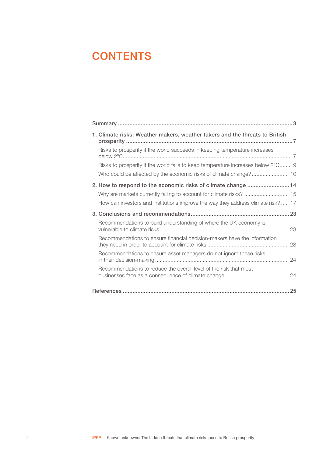# **CONTENTS**

| 1. Climate risks: Weather makers, weather takers and the threats to British                                                                                                                                             |  |
|-------------------------------------------------------------------------------------------------------------------------------------------------------------------------------------------------------------------------|--|
| Risks to prosperity if the world succeeds in keeping temperature increases                                                                                                                                              |  |
| Risks to prosperity if the world fails to keep temperature increases below 2°C 9                                                                                                                                        |  |
| 2. How to respond to the economic risks of climate change 14<br>Why are markets currently failing to account for climate risks?  15<br>How can investors and institutions improve the way they address climate risk? 17 |  |
|                                                                                                                                                                                                                         |  |
|                                                                                                                                                                                                                         |  |
| Recommendations to build understanding of where the UK economy is                                                                                                                                                       |  |
| Recommendations to ensure financial decision-makers have the information                                                                                                                                                |  |
| Recommendations to ensure asset managers do not ignore these risks                                                                                                                                                      |  |
| Recommendations to reduce the overall level of the risk that most                                                                                                                                                       |  |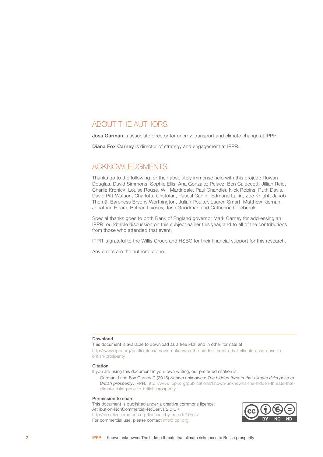# ABOUT THE AUTHORS

Joss Garman is associate director for energy, transport and climate change at IPPR.

Diana Fox Carney is director of strategy and engagement at IPPR.

# ACKNOWLEDGMENTS

Thanks go to the following for their absolutely immense help with this project: Rowan Douglas, David Simmons, Sophie Ellis, Ana Gonzalez Pelaez, Ben Caldecott, Jillian Reid, Charlie Kronick, Louise Rouse, Will Martindale, Paul Chandler, Nick Robins, Ruth Davis, David Pitt-Watson, Charlotte Cristofari, Pascal Canfin, Edmund Lakin, Zoe Knight, Jakob Thomä, Baroness Bryony Worthington, Julian Poulter, Lauren Smart, Matthew Kiernan, Jonathan Hoare, Bethan Livesey, Josh Goodman and Catherine Colebrook.

Special thanks goes to both Bank of England governor Mark Carney for addressing an IPPR roundtable discussion on this subject earlier this year, and to all of the contributions from those who attended that event.

IPPR is grateful to the Willis Group and HSBC for their financial support for this research.

Any errors are the authors' alone.

#### Download

This document is available to download as a free PDF and in other formats at:

[http://www.ippr.org/publications/known-unknowns-the-hidden-threats-that-climate-risks-pose-to](http://www.ippr.org/publications/known-unknowns-the-hidden-threats-that-climate-risks-pose-to-british-prosperity)[british-prosperity](http://www.ippr.org/publications/known-unknowns-the-hidden-threats-that-climate-risks-pose-to-british-prosperity)

#### Citation

If you are using this document in your own writing, our preferred citation is:

Garman J and Fox Carney D (2015) *Known unknowns: The hidden threats that climate risks pose to British prosperity*, IPPR. [http://www.ippr.org/publications/known-unknowns-the-hidden-threats-that](http://www.ippr.org/publications/known-unknowns-the-hidden-threats-that-climate-risks-pose-to-british-prosperity)[climate-risks-pose-to-british-prosperity](http://www.ippr.org/publications/known-unknowns-the-hidden-threats-that-climate-risks-pose-to-british-prosperity)

#### Permission to share

This document is published under a creative commons licence: Attribution-NonCommercial-NoDerivs 2.0 UK <http://creativecommons.org/licenses/by-nc-nd/2.0/uk/> For commercial use, please contact <info@ippr.org>

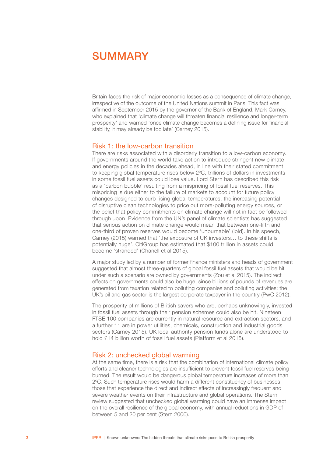# <span id="page-4-0"></span>SUMMARY

Britain faces the risk of major economic losses as a consequence of climate change, irrespective of the outcome of the United Nations summit in Paris. This fact was affirmed in September 2015 by the governor of the Bank of England, Mark Carney, who explained that 'climate change will threaten financial resilience and longer-term prosperity' and warned 'once climate change becomes a defining issue for financial stability, it may already be too late' (Carney 2015).

## Risk 1: the low-carbon transition

There are risks associated with a disorderly transition to a low-carbon economy. If governments around the world take action to introduce stringent new climate and energy policies in the decades ahead, in line with their stated commitment to keeping global temperature rises below 2ºC, trillions of dollars in investments in some fossil fuel assets could lose value. Lord Stern has described this risk as a 'carbon bubble' resulting from a mispricing of fossil fuel reserves. This mispricing is due either to the failure of markets to account for future policy changes designed to curb rising global temperatures, the increasing potential of disruptive clean technologies to price out more-polluting energy sources, or the belief that policy commitments on climate change will not in fact be followed through upon. Evidence from the UN's panel of climate scientists has suggested that serious action on climate change would mean that between one-fifth and one-third of proven reserves would become 'unburnable' (ibid). In his speech, Carney (2015) warned that 'the exposure of UK investors… to these shifts is potentially huge'. CitiGroup has estimated that \$100 trillion in assets could become 'stranded' (Chanell et al 2015).

A major study led by a number of former finance ministers and heads of government suggested that almost three-quarters of global fossil fuel assets that would be hit under such a scenario are owned by governments (Zou et al 2015). The indirect effects on governments could also be huge, since billions of pounds of revenues are generated from taxation related to polluting companies and polluting activities: the UK's oil and gas sector is the largest corporate taxpayer in the country (PwC 2012).

The prosperity of millions of British savers who are, perhaps unknowingly, invested in fossil fuel assets through their pension schemes could also be hit. Nineteen FTSE 100 companies are currently in natural resource and extraction sectors, and a further 11 are in power utilities, chemicals, construction and industrial goods sectors (Carney 2015). UK local authority pension funds alone are understood to hold £14 billion worth of fossil fuel assets (Platform et al 2015).

#### Risk 2: unchecked global warming

At the same time, there is a risk that the combination of international climate policy efforts and cleaner technologies are insufficient to prevent fossil fuel reserves being burned. The result would be dangerous global temperature increases of more than 2ºC. Such temperature rises would harm a different constituency of businesses: those that experience the direct and indirect effects of increasingly frequent and severe weather events on their infrastructure and global operations. The Stern review suggested that unchecked global warming could have an immense impact on the overall resilience of the global economy, with annual reductions in GDP of between 5 and 20 per cent (Stern 2006).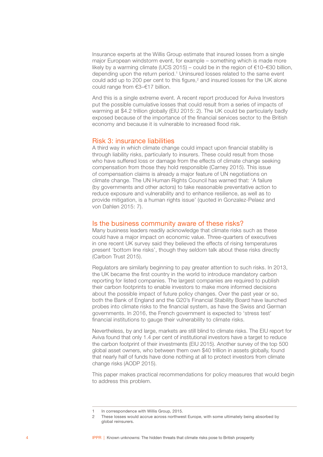Insurance experts at the Willis Group estimate that insured losses from a single major European windstorm event, for example – something which is made more likely by a warming climate (UCS 2015) – could be in the region of €10–€30 billion, depending upon the return period.<sup>1</sup> Uninsured losses related to the same event could add up to 200 per cent to this figure, $2$  and insured losses for the UK alone could range from €3–€17 billion.

And this is a single extreme event. A recent report produced for Aviva Investors put the possible cumulative losses that could result from a series of impacts of warming at \$4.2 trillion globally (EIU 2015: 2). The UK could be particularly badly exposed because of the importance of the financial services sector to the British economy and because it is vulnerable to increased flood risk.

## Risk 3: insurance liabilities

A third way in which climate change could impact upon financial stability is through liability risks, particularly to insurers. These could result from those who have suffered loss or damage from the effects of climate change seeking compensation from those they hold responsible (Carney 2015). This issue of compensation claims is already a major feature of UN negotiations on climate change. The UN Human Rights Council has warned that: 'A failure (by governments and other actors) to take reasonable preventative action to reduce exposure and vulnerability and to enhance resilience, as well as to provide mitigation, is a human rights issue' (quoted in Gonzalez-Pelaez and von Dahlen 2015: 7).

#### Is the business community aware of these risks?

Many business leaders readily acknowledge that climate risks such as these could have a major impact on economic value. Three-quarters of executives in one recent UK survey said they believed the effects of rising temperatures present 'bottom line risks', though they seldom talk about these risks directly (Carbon Trust 2015).

Regulators are similarly beginning to pay greater attention to such risks. In 2013, the UK became the first country in the world to introduce mandatory carbon reporting for listed companies. The largest companies are required to publish their carbon footprints to enable investors to make more informed decisions about the possible impact of future policy changes. Over the past year or so, both the Bank of England and the G20's Financial Stability Board have launched probes into climate risks to the financial system, as have the Swiss and German governments. In 2016, the French government is expected to 'stress test' financial institutions to gauge their vulnerability to climate risks.

Nevertheless, by and large, markets are still blind to climate risks. The EIU report for Aviva found that only 1.4 per cent of institutional investors have a target to reduce the carbon footprint of their investments (EIU 2015). Another survey of the top 500 global asset owners, who between them own \$40 trillion in assets globally, found that nearly half of funds have done nothing at all to protect investors from climate change risks (AODP 2015).

This paper makes practical recommendations for policy measures that would begin to address this problem.

In correspondence with Willis Group, 2015.

<sup>2</sup> These losses would accrue across northwest Europe, with some ultimately being absorbed by global reinsurers.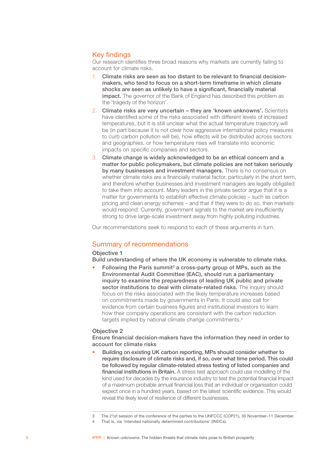# Key findings

Our research identifies three broad reasons why markets are currently failing to account for climate risks.

- 1. Climate risks are seen as too distant to be relevant to financial decisionmakers, who tend to focus on a short-term timeframe in which climate shocks are seen as unlikely to have a significant, financially material impact. The governor of the Bank of England has described this problem as the 'tragedy of the horizon'.
- 2. Climate risks are very uncertain they are 'known unknowns'. Scientists have identified some of the risks associated with different levels of increased temperatures, but it is still unclear what the actual temperature trajectory will be (in part because it is not clear how aggressive international policy measures to curb carbon pollution will be), how effects will be distributed across sectors and geographies, or how temperature rises will translate into economic impacts on specific companies and sectors.
- 3. Climate change is widely acknowledged to be an ethical concern and a matter for public policymakers, but climate policies are not taken seriously by many businesses and investment managers. There is no consensus on whether climate risks are a financially material factor, particularly in the short term, and therefore whether businesses and investment managers are legally obligated to take them into account. Many leaders in the private sector argue that it is a matter for governments to establish effective climate policies – such as carbon pricing and clean energy schemes – and that if they were to do so, then markets would respond. Currently, government signals to the market are insufficiently strong to drive large-scale investment away from highly polluting industries.

Our recommendations seek to respond to each of these arguments in turn.

# Summary of recommendations

#### Objective 1

Build understanding of where the UK economy is vulnerable to climate risks.

Following the Paris summit<sup>3</sup> a cross-party group of MPs, such as the Environmental Audit Committee (EAC), should run a parliamentary inquiry to examine the preparedness of leading UK public and private sector institutions to deal with climate-related risks. The inquiry should focus on the risks associated with the likely temperature increases based on commitments made by governments in Paris. It could also call for evidence from certain business figures and institutional investors to learn how their company operations are consistent with the carbon reduction targets implied by national climate change commitments.<sup>4</sup>

#### Objective 2

Ensure financial decision-makers have the information they need in order to account for climate risks

• Building on existing UK carbon reporting, MPs should consider whether to require disclosure of climate risks and, if so, over what time period. This could be followed by regular climate-related stress testing of listed companies and financial institutions in Britain. A stress test approach could use modelling of the kind used for decades by the insurance industry to test the potential financial impact of a maximum probable annual financial loss that an individual or organisation could expect once in a hundred years, based on the latest scientific evidence. This would reveal the likely level of resilience of different businesses.

<sup>3</sup> The 21st session of the conference of the parties to the UNFCCC (COP21), 30 November–11 December.

<sup>4</sup> That is, via 'intended nationally determined contributions' (INDCs).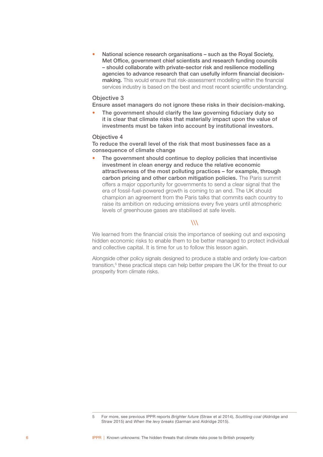• National science research organisations – such as the Royal Society, Met Office, government chief scientists and research funding councils – should collaborate with private-sector risk and resilience modelling agencies to advance research that can usefully inform financial decisionmaking. This would ensure that risk-assessment modelling within the financial services industry is based on the best and most recent scientific understanding.

#### Objective 3

Ensure asset managers do not ignore these risks in their decision-making.

The government should clarify the law governing fiduciary duty so it is clear that climate risks that materially impact upon the value of investments must be taken into account by institutional investors.

#### Objective 4

To reduce the overall level of the risk that most businesses face as a consequence of climate change

The government should continue to deploy policies that incentivise investment in clean energy and reduce the relative economic attractiveness of the most polluting practices – for example, through carbon pricing and other carbon mitigation policies. The Paris summit offers a major opportunity for governments to send a clear signal that the era of fossil-fuel-powered growth is coming to an end. The UK should champion an agreement from the Paris talks that commits each country to raise its ambition on reducing emissions every five years until atmospheric levels of greenhouse gases are stabilised at safe levels.

## $\mathcal{W}$

We learned from the financial crisis the importance of seeking out and exposing hidden economic risks to enable them to be better managed to protect individual and collective capital. It is time for us to follow this lesson again.

Alongside other policy signals designed to produce a stable and orderly low-carbon transition,<sup>5</sup> these practical steps can help better prepare the UK for the threat to our prosperity from climate risks.

<sup>5</sup> For more, see previous IPPR reports *Brighter future* (Straw et al 2014), *Scuttling coal* (Aldridge and Straw 2015) and *When the levy breaks* (Garman and Aldridge 2015).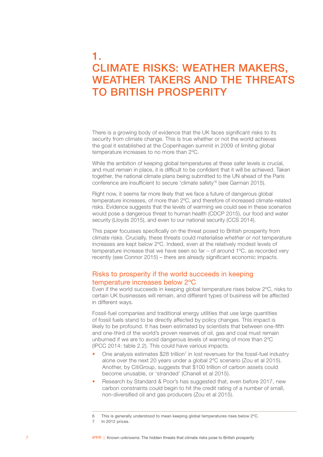# <span id="page-8-0"></span>1. CLIMATE RISKS: WEATHER MAKERS, WEATHER TAKERS AND THE THREATS TO BRITISH PROSPERITY

There is a growing body of evidence that the UK faces significant risks to its security from climate change. This is true whether or not the world achieves the goal it established at the Copenhagen summit in 2009 of limiting global temperature increases to no more than 2ºC.

While the ambition of keeping global temperatures at these safer levels is crucial, and must remain in place, it is difficult to be confident that it will be achieved. Taken together, the national climate plans being submitted to the UN ahead of the Paris conference are insufficient to secure 'climate safety'6 (see Garman 2015).

Right now, it seems far more likely that we face a future of dangerous global temperature increases, of more than 2ºC, and therefore of increased climate-related risks. Evidence suggests that the levels of warming we could see in these scenarios would pose a dangerous threat to human health (CDCP 2015), our food and water security (Lloyds 2015), and even to our national security (CCS 2014).

This paper focusses specifically on the threat posed to British prosperity from climate risks. Crucially, these threats could materialise *whether or not* temperature increases are kept below 2ºC. Indeed, even at the relatively modest levels of temperature increase that we have seen so far – of around 1ºC, as recorded very recently (see Connor 2015) – there are already significant economic impacts.

# Risks to prosperity if the world succeeds in keeping temperature increases below 2ºC

Even if the world succeeds in keeping global temperature rises below 2ºC, risks to certain UK businesses will remain, and different types of business will be affected in different ways.

Fossil-fuel companies and traditional energy utilities that use large quantities of fossil fuels stand to be directly affected by policy changes. This impact is likely to be profound. It has been estimated by scientists that between one-fifth and one-third of the world's proven reserves of oil, gas and coal must remain unburned if we are to avoid dangerous levels of warming of more than 2ºC (IPCC 2014: table 2.2). This could have various impacts.

- One analysis estimates \$28 trillion<sup>7</sup> in lost revenues for the fossil-fuel industry alone over the next 20 years under a global 2ºC scenario (Zou et al 2015). Another, by CitiGroup, suggests that \$100 trillion of carbon assets could become unusable, or 'stranded' (Chanell et al 2015).
- Research by Standard & Poor's has suggested that, even before 2017, new carbon constraints could begin to hit the credit rating of a number of small, non-diversified oil and gas producers (Zou et al 2015).

<sup>6</sup> This is generally understood to mean keeping global temperatures rises below 2ºC.

<sup>7</sup> In 2012 prices.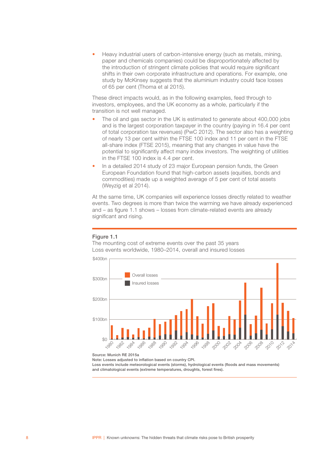• Heavy industrial users of carbon-intensive energy (such as metals, mining, paper and chemicals companies) could be disproportionately affected by the introduction of stringent climate policies that would require significant shifts in their own corporate infrastructure and operations. For example, one study by McKinsey suggests that the aluminium industry could face losses of 65 per cent (Thoma et al 2015).

These direct impacts would, as in the following examples, feed through to investors, employees, and the UK economy as a whole, particularly if the transition is not well managed.

- The oil and gas sector in the UK is estimated to generate about 400,000 jobs and is the largest corporation taxpayer in the country (paying in 16.4 per cent of total corporation tax revenues) (PwC 2012). The sector also has a weighting of nearly 13 per cent within the FTSE 100 index and 11 per cent in the FTSE all-share index (FTSE 2015), meaning that any changes in value have the potential to significantly affect many index investors. The weighting of utilities in the FTSE 100 index is 4.4 per cent.
- In a detailed 2014 study of 23 major European pension funds, the Green European Foundation found that high-carbon assets (equities, bonds and commodities) made up a weighted average of 5 per cent of total assets (Weyzig et al 2014).

At the same time, UK companies will experience losses directly related to weather events. Two degrees is more than twice the warming we have already experienced and – as figure 1.1 shows – losses from climate-related events are already significant and rising.

#### Figure 1.1

The mounting cost of extreme events over the past 35 years Loss events worldwide, 1980–2014, overall and insured losses



Source: Munich RE 2015a

Note: Losses adjusted to inflation based on country CPI.

Loss events include meteorological events (storms), hydrological events (floods and mass movements) and climatological events (extreme temperatures, droughts, forest fires).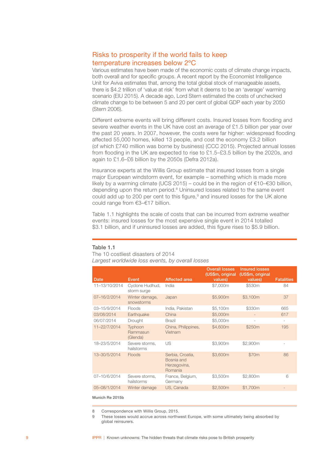# <span id="page-10-0"></span>Risks to prosperity if the world fails to keep temperature increases below 2ºC

Various estimates have been made of the economic costs of climate change impacts, both overall and for specific groups. A recent report by the Economist Intelligence Unit for Aviva estimates that, among the total global stock of manageable assets, there is \$4.2 trillion of 'value at risk' from what it deems to be an 'average' warming scenario (EIU 2015). A decade ago, Lord Stern estimated the costs of unchecked climate change to be between 5 and 20 per cent of global GDP each year by 2050 (Stern 2006).

Different extreme events will bring different costs. Insured losses from flooding and severe weather events in the UK have cost an average of £1.5 billion per year over the past 20 years. In 2007, however, the costs were far higher: widespread flooding affected 55,000 homes, killed 13 people, and cost the economy £3.2 billion (of which £740 million was borne by business) (CCC 2015). Projected annual losses from flooding in the UK are expected to rise to £1.5–£3.5 billion by the 2020s, and again to £1.6–£6 billion by the 2050s (Defra 2012a).

Insurance experts at the Willis Group estimate that insured losses from a single major European windstorm event, for example – something which is made more likely by a warming climate (UCS 2015) – could be in the region of €10–€30 billion, depending upon the return period.8 Uninsured losses related to the same event could add up to 200 per cent to this figure,<sup>9</sup> and insured losses for the UK alone could range from €3–€17 billion.

Table 1.1 highlights the scale of costs that can be incurred from extreme weather events: insured losses for the most expensive single event in 2014 totalled \$3.1 billion, and if uninsured losses are added, this figure rises to \$5.9 billion.

#### Table 1.1

The 10 costliest disasters of 2014 *Largest worldwide loss events, by overall losses* 

|               |                                 |                                                           | <b>Overall losses</b><br>(US\$m, original | <b>Insured losses</b><br>(US\$m, original |                          |
|---------------|---------------------------------|-----------------------------------------------------------|-------------------------------------------|-------------------------------------------|--------------------------|
| Date          | Event                           | <b>Affected area</b>                                      | values)                                   | values)                                   | <b>Fatalities</b>        |
| 11-13/10/2014 | Cyclone Hudhud,<br>storm surge  | India                                                     | \$7,000m                                  | \$530m                                    | 84                       |
| 07-16/2/2014  | Winter damage,<br>snowstorms    | Japan                                                     | \$5,900m                                  | \$3,100m                                  | 37                       |
| 03-15/9/2014  | Floods                          | India, Pakistan                                           | \$5,100m                                  | \$330m                                    | 665                      |
| 03/08/2014    | Earthquake                      | China                                                     | \$5,000m                                  |                                           | 617                      |
| 06/07/2014    | Drought                         | <b>Brazil</b>                                             | \$5,000m                                  | ٠                                         | $\overline{\phantom{m}}$ |
| 11-22/7/2014  | Typhoon<br>Rammasun<br>(Glenda) | China, Philippines,<br>Vietnam                            | \$4,600m                                  | \$250m                                    | 195                      |
| 18-23/5/2014  | Severe storms,<br>hailstorms    | US                                                        | \$3,900m                                  | \$2,900m                                  |                          |
| 13-30/5/2014  | Floods                          | Serbia, Croatia,<br>Bosnia and<br>Herzegovina,<br>Romania | \$3,600m                                  | \$70m                                     | 86                       |
| 07-10/6/2014  | Severe storms,<br>hailstorms    | France, Belgium,<br>Germany                               | \$3,500m                                  | \$2,800m                                  | 6                        |
| 05-08/1/2014  | Winter damage                   | US, Canada                                                | \$2,500m                                  | \$1,700m                                  |                          |

Munich Re 2015b

8 Correspondence with Willis Group, 2015.

9 These losses would accrue across northwest Europe, with some ultimately being absorbed by global reinsurers.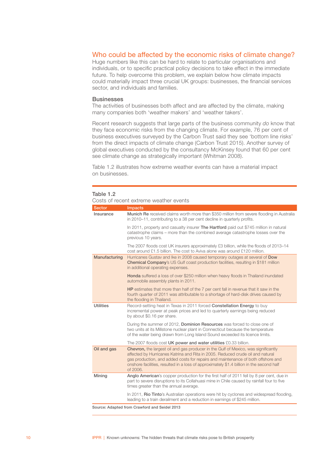## <span id="page-11-0"></span>Who could be affected by the economic risks of climate change?

Huge numbers like this can be hard to relate to particular organisations and individuals, or to specific practical policy decisions to take effect in the immediate future. To help overcome this problem, we explain below how climate impacts could materially impact three crucial UK groups: businesses, the financial services sector, and individuals and families.

#### **Businesses**

The activities of businesses both affect and are affected by the climate, making many companies both 'weather makers' and 'weather takers'.

Recent research suggests that large parts of the business community *do* know that they face economic risks from the changing climate. For example, 76 per cent of business executives surveyed by the Carbon Trust said they see 'bottom line risks' from the direct impacts of climate change (Carbon Trust 2015). Another survey of global executives conducted by the consultancy McKinsey found that 60 per cent see climate change as strategically important (Whitman 2008).

Table 1.2 illustrates how extreme weather events can have a material impact on businesses.

#### Table 1.2

Costs of recent extreme weather events Sector Impacts Insurance Munich Re received claims worth more than \$350 million from severe flooding in Australia in 2010–11, contributing to a 38 per cent decline in quarterly profits. In 2011, property and casualty insurer The Hartford paid out \$745 million in natural catastrophe claims – more than the combined average catastrophe losses over the previous 10 years. The 2007 floods cost UK insurers approximately £3 billion, while the floods of 2013–14 cost around £1.5 billion. The cost to Aviva alone was around £120 million. Manufacturing Hurricanes Gustav and Ike in 2008 caused temporary outages at several of Dow Chemical Company's US Gulf coast production facilities, resulting in \$181 million in additional operating expenses. Honda suffered a loss of over \$250 million when heavy floods in Thailand inundated automobile assembly plants in 2011. HP estimates that more than half of the 7 per cent fall in revenue that it saw in the fourth quarter of 2011 was attributable to a shortage of hard-disk drives caused by the flooding in Thailand. Utilities Record-setting heat in Texas in 2011 forced Constellation Energy to buy incremental power at peak prices and led to quarterly earnings being reduced by about \$0.16 per share. During the summer of 2012, Dominion Resources was forced to close one of two units at its Millstone nuclear plant in Connecticut because the temperature of the water being drawn from Long Island Sound exceeded its licence limits. The 2007 floods cost UK power and water utilities £0.33 billion. Oil and gas Chevron, the largest oil and gas producer in the Gulf of Mexico, was significantly affected by Hurricanes Katrina and Rita in 2005. Reduced crude oil and natural gas production, and added costs for repairs and maintenance of both offshore and onshore facilities, resulted in a loss of approximately \$1.4 billion in the second half of 2006. Mining Anglo American's copper production for the first half of 2011 fell by 8 per cent, due in part to severe disruptions to its Collahuasi mine in Chile caused by rainfall four to five times greater than the annual average. In 2011, Rio Tinto's Australian operations were hit by cyclones and widespread flooding, leading to a train derailment and a reduction in earnings of \$245 million.

Source: Adapted from Crawford and Seidel 2013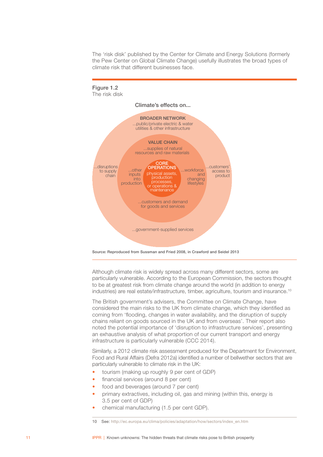The 'risk disk' published by the Center for Climate and Energy Solutions (formerly the Pew Center on Global Climate Change) usefully illustrates the broad types of climate risk that different businesses face.



Source: Reproduced from Sussman and Fried 2008, in Crawford and Seidel 2013

Although climate risk is widely spread across many different sectors, some are particularly vulnerable. According to the European Commission, the sectors thought to be at greatest risk from climate change around the world (in addition to energy industries) are real estate/infrastructure, timber, agriculture, tourism and insurance.10

The British government's advisers, the Committee on Climate Change, have considered the main risks to the UK from climate change, which they identified as coming from 'flooding, changes in water availability, and the disruption of supply chains reliant on goods sourced in the UK and from overseas'. Their report also noted the potential importance of 'disruption to infrastructure services', presenting an exhaustive analysis of what proportion of our current transport and energy infrastructure is particularly vulnerable (CCC 2014).

Similarly, a 2012 climate risk assessment produced for the Department for Environment, Food and Rural Affairs (Defra 2012a) identified a number of bellwether sectors that are particularly vulnerable to climate risk in the UK:

- tourism (making up roughly 9 per cent of GDP)
- financial services (around 8 per cent)
- food and beverages (around 7 per cent)
- primary extractives, including oil, gas and mining (within this, energy is 3.5 per cent of GDP)
- chemical manufacturing (1.5 per cent GDP).

<sup>10</sup> See: [http://ec.europa.eu/clima/policies/adaptation/how/sectors/index\\_en.htm](http://ec.europa.eu/clima/policies/adaptation/how/sectors/index_en.htm)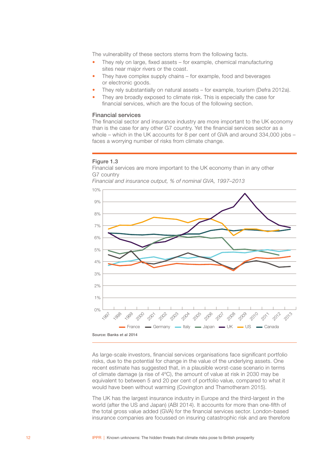The vulnerability of these sectors stems from the following facts.

- They rely on large, fixed assets for example, chemical manufacturing sites near major rivers or the coast.
- They have complex supply chains for example, food and beverages or electronic goods.
- They rely substantially on natural assets for example, tourism (Defra 2012a).
- They are broadly exposed to climate risk. This is especially the case for financial services, which are the focus of the following section.

#### Financial services

The financial sector and insurance industry are more important to the UK economy than is the case for any other G7 country. Yet the financial services sector as a whole – which in the UK accounts for 8 per cent of GVA and around 334,000 jobs – faces a worrying number of risks from climate change.

#### Figure 1.3

Financial services are more important to the UK economy than in any other G7 country



*Financial and insurance output, % of nominal GVA, 1997–2013*

As large-scale investors, financial services organisations face significant portfolio risks, due to the potential for change in the value of the underlying assets. One recent estimate has suggested that, in a plausible worst-case scenario in terms of climate damage (a rise of 4ºC), the amount of value at risk in 2030 may be equivalent to between 5 and 20 per cent of portfolio value, compared to what it would have been without warming (Covington and Thamotheram 2015).

The UK has the largest insurance industry in Europe and the third-largest in the world (after the US and Japan) (ABI 2014). It accounts for more than one-fifth of the total gross value added (GVA) for the financial services sector. London-based insurance companies are focussed on insuring catastrophic risk and are therefore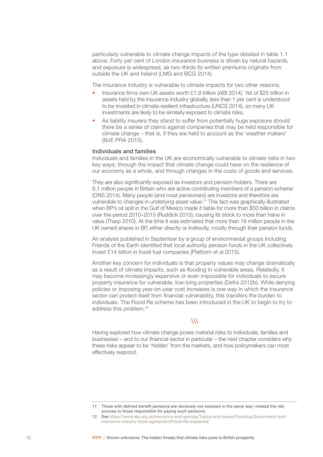particularly vulnerable to climate change impacts of the type detailed in table 1.1 above. Forty per cent of London insurance business is driven by natural hazards, and exposure is widespread, as two-thirds its written premiums originate from outside the UK and Ireland (LMG and BCG 2014).

The insurance industry is vulnerable to climate impacts for two other reasons.

- Insurance firms own UK assets worth £1.8 trillion (ABI 2014). Yet of \$25 trillion in assets held by the insurance industry globally, less than 1 per cent is understood to be invested in climate-resilient infrastructure (UNCS 2014), so many UK investments are likely to be similarly exposed to climate risks.
- As liability insurers they stand to suffer from potentially huge exposure should there be a series of claims against companies that may be held responsible for climate change – that is, if they are held to account as the 'weather makers' (BoE PRA 2015).

#### Individuals and families

Individuals and families in the UK are economically vulnerable to climate risks in two key ways: through the impact that climate change could have on the resilience of our economy as a whole, and through changes in the costs of goods and services.

They are also significantly exposed as investors and pension-holders. There are 8.1 million people in Britain who are active contributing members of a pension scheme (ONS 2014). Many people (and most pensioners) are investors and therefore are vulnerable to changes in underlying asset value.11 This fact was graphically illustrated when BP's oil spill in the Gulf of Mexico made it liable for more than \$50 billion in claims over the period 2010–2015 (Ruddick 2015), causing its stock to more than halve in value (Tharp 2010). At the time it was estimated that more than 18 million people in the UK owned shares in BP, either directly or indirectly, mostly through their pension funds.

An analysis published in September by a group of environmental groups including Friends of the Earth identified that local authority pension funds in the UK collectively invest £14 billion in fossil-fuel companies (Platform et al 2015).

Another key concern for individuals is that property values may change dramatically as a result of climate impacts, such as flooding in vulnerable areas. Relatedly, it may become increasingly expensive or even impossible for individuals to secure property insurance for vulnerable, low-lying properties (Defra 2012b). While denying policies or imposing year-on-year cost increases is one way in which the insurance sector can protect itself from financial vulnerability, this transfers the burden to individuals. The Flood Re scheme has been introduced in the UK to begin to try to address this problem.<sup>12</sup>

## $\lambda\lambda$

Having explored how climate change poses material risks to individuals, families and businesses – and to our financial sector in particular – the next chapter considers why these risks appear to be 'hidden' from the markets, and how policymakers can most effectively respond.

<sup>11</sup> Those with defined benefit pensions are obviously not exposed in the same way: instead the risk accrues to those responsible for paying such pensions.

<sup>12</sup> See [https://www.abi.org.uk/Insurance-and-savings/Topics-and-issues/Flooding/Government-and](https://www.abi.org.uk/Insurance-and-savings/Topics-and-issues/Flooding/Government-and-insurance-industry-flood-agreement/Flood-Re-explained)[insurance-industry-flood-agreement/Flood-Re-explained](https://www.abi.org.uk/Insurance-and-savings/Topics-and-issues/Flooding/Government-and-insurance-industry-flood-agreement/Flood-Re-explained)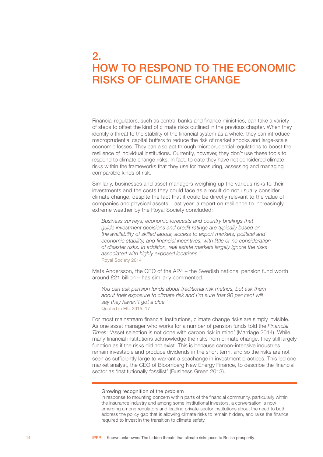# <span id="page-15-0"></span>2. HOW TO RESPOND TO THE ECONOMIC RISKS OF CLIMATE CHANGE

Financial regulators, such as central banks and finance ministries, can take a variety of steps to offset the kind of climate risks outlined in the previous chapter. When they identify a threat to the stability of the financial system as a whole, they can introduce macroprudential capital buffers to reduce the risk of market shocks and large-scale economic losses. They can also act through microprudential regulations to boost the resilience of individual institutions. Currently, however, they don't use these tools to respond to climate change risks. In fact, to date they have not considered climate risks within the frameworks that they use for measuring, assessing and managing comparable kinds of risk.

Similarly, businesses and asset managers weighing up the various risks to their investments and the costs they could face as a result do not usually consider climate change, despite the fact that it could be directly relevant to the value of companies and physical assets. Last year, a report on resilience to increasingly extreme weather by the Royal Society concluded:

*'Business surveys, economic forecasts and country briefings that guide investment decisions and credit ratings are typically based on the availability of skilled labour, access to export markets, political and economic stability, and financial incentives, with little or no consideration of disaster risks. In addition, real estate markets largely ignore the risks associated with highly exposed locations.'*  Royal Society 2014

Mats Andersson, the CEO of the AP4 – the Swedish national pension fund worth around £21 billion – has similarly commented:

*'You can ask pension funds about traditional risk metrics, but ask them about their exposure to climate risk and I'm sure that 90 per cent will say they haven't got a clue.'*  Quoted in EIU 2015: 17

For most mainstream financial institutions, climate change risks are simply invisible. As one asset manager who works for a number of pension funds told the *Financial Times*: 'Asset selection is not done with carbon risk in mind' (Marriage 2014). While many financial institutions acknowledge the risks from climate change, they still largely function as if the risks did not exist. This is because carbon-intensive industries remain investable and produce dividends in the short term, and so the risks are not seen as sufficiently large to warrant a seachange in investment practices. This led one market analyst, the CEO of Bloomberg New Energy Finance, to describe the financial sector as 'institutionally fossilist' (Business Green 2013).

#### Growing recognition of the problem

In response to mounting concern within parts of the financial community, particularly within the insurance industry and among some institutional investors, a conversation is now emerging among regulators and leading private-sector institutions about the need to both address the policy gap that is allowing climate risks to remain hidden, and raise the finance required to invest in the transition to climate safety.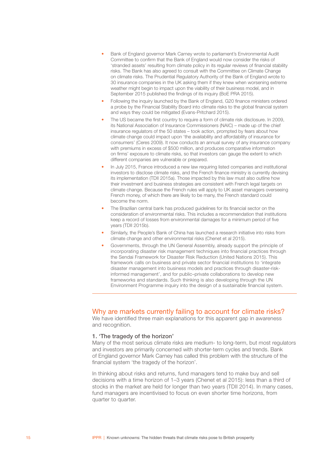- <span id="page-16-0"></span>• Bank of England governor Mark Carney wrote to parliament's Environmental Audit Committee to confirm that the Bank of England would now consider the risks of 'stranded assets' resulting from climate policy in its regular reviews of financial stability risks. The Bank has also agreed to consult with the Committee on Climate Change on climate risks. The Prudential Regulatory Authority of the Bank of England wrote to 30 insurance companies in the UK asking them if they knew when worsening extreme weather might begin to impact upon the viability of their business model, and in September 2015 published the findings of its inquiry (BoE PRA 2015).
- Following the inquiry launched by the Bank of England, G20 finance ministers ordered a probe by the Financial Stability Board into climate risks to the global financial system and ways they could be mitigated (Evans-Pritchard 2015).
- The US became the first country to require a form of climate risk disclosure. In 2009, its National Association of Insurance Commissioners (NAIC) – made up of the chief insurance regulators of the 50 states – took action, prompted by fears about how climate change could impact upon 'the availability and affordability of insurance for consumers' (Ceres 2009). It now conducts an annual survey of any insurance company with premiums in excess of \$500 million, and produces comparative information on firms' exposure to climate risks, so that investors can gauge the extent to which different companies are vulnerable or prepared.
- In July 2015, France introduced a new law requiring listed companies and institutional investors to disclose climate risks, and the French finance ministry is currently devising its implementation (TDII 2015a). Those impacted by this law must also outline how their investment and business strategies are consistent with French legal targets on climate change. Because the French rules will apply to UK asset managers overseeing French money, of which there are likely to be many, the French standard could become the norm.
- The Brazilian central bank has produced guidelines for its financial sector on the consideration of environmental risks. This includes a recommendation that institutions keep a record of losses from environmental damages for a minimum period of five years (TDII 2015b).
- Similarly, the People's Bank of China has launched a research initiative into risks from climate change and other environmental risks (Chenet et al 2015).
- Governments, through the UN General Assembly, already support the principle of incorporating disaster risk management techniques into financial practices through the Sendai Framework for Disaster Risk Reduction (United Nations 2015). This framework calls on business and private sector financial institutions to 'integrate disaster management into business models and practices through disaster-riskinformed management', and for public–private collaborations to develop new frameworks and standards. Such thinking is also developing through the UN Environment Programme inquiry into the design of a sustainable financial system.

## Why are markets currently failing to account for climate risks?

We have identified three main explanations for this apparent gap in awareness and recognition.

#### 1. 'The tragedy of the horizon'

Many of the most serious climate risks are medium- to long-term, but most regulators and investors are primarily concerned with shorter-term cycles and trends. Bank of England governor Mark Carney has called this problem with the structure of the financial system 'the tragedy of the horizon'.

In thinking about risks and returns, fund managers tend to make buy and sell decisions with a time horizon of 1–3 years (Chenet et al 2015): less than a third of stocks in the market are held for longer than two years (TDII 2014). In many cases, fund managers are incentivised to focus on even shorter time horizons, from quarter to quarter.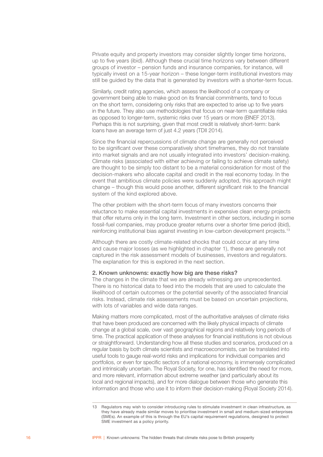Private equity and property investors may consider slightly longer time horizons, up to five years (ibid). Although these crucial time horizons vary between different groups of investor – pension funds and insurance companies, for instance, will typically invest on a 15-year horizon – these longer-term institutional investors may still be guided by the data that is generated by investors with a shorter-term focus.

Similarly, credit rating agencies, which assess the likelihood of a company or government being able to make good on its financial commitments, tend to focus on the short term, considering only risks that are expected to arise up to five years in the future. They also use methodologies that focus on near-term quantifiable risks as opposed to longer-term, systemic risks over 15 years or more (BNEF 2013). Perhaps this is not surprising, given that most credit is relatively short-term: bank loans have an average term of just 4.2 years (TDII 2014).

Since the financial repercussions of climate change are generally not perceived to be significant over these comparatively short timeframes, they do not translate into market signals and are not usually integrated into investors' decision-making. Climate risks (associated with either achieving or failing to achieve climate safety) are thought to be simply too distant to be a material consideration for most of the decision-makers who allocate capital and credit in the real economy today. In the event that ambitious climate policies were suddenly adopted, this approach might change – though this would pose another, different significant risk to the financial system of the kind explored above.

The other problem with the short-term focus of many investors concerns their reluctance to make essential capital investments in expensive clean energy projects that offer returns only in the long term. Investment in other sectors, including in some fossil-fuel companies, may produce greater returns over a shorter time period (ibid), reinforcing institutional bias against investing in low-carbon development projects.13

Although there are costly climate-related shocks that could occur at any time and cause major losses (as we highlighted in chapter 1), these are generally not captured in the risk assessment models of businesses, investors and regulators. The explanation for this is explored in the next section.

#### 2. Known unknowns: exactly how big are these risks?

The changes in the climate that we are already witnessing are unprecedented. There is no historical data to feed into the models that are used to calculate the likelihood of certain outcomes or the potential severity of the associated financial risks. Instead, climate risk assessments must be based on uncertain projections, with lots of variables and wide data ranges.

Making matters more complicated, most of the authoritative analyses of climate risks that have been produced are concerned with the likely physical impacts of climate change at a global scale, over vast geographical regions and relatively long periods of time. The practical application of these analyses for financial institutions is not obvious or straightforward. Understanding how all these studies and scenarios, produced on a regular basis by both climate scientists and macroeconomists, can be translated into useful tools to gauge real-world risks and implications for individual companies and portfolios, or even for specific sectors of a national economy, is immensely complicated and intrinsically uncertain. The Royal Society, for one, has identified the need for more, and more relevant, information about extreme weather (and particularly about its local and regional impacts), and for more dialogue between those who generate this information and those who use it to inform their decision-making (Royal Society 2014).

<sup>13</sup> Regulators may wish to consider introducing rules to stimulate investment in clean infrastructure, as they have already made similar moves to prioritise investment in small and medium-sized enterprises (SMEs). An example of this is through the EU's capital requirement regulations, designed to protect SME investment as a policy priority.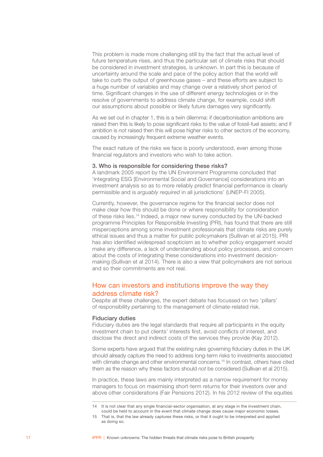<span id="page-18-0"></span>This problem is made more challenging still by the fact that the actual level of future temperature rises, and thus the particular set of climate risks that should be considered in investment strategies, is unknown. In part this is because of uncertainty around the scale and pace of the policy action that the world will take to curb the output of greenhouse gases – and these efforts are subject to a huge number of variables and may change over a relatively short period of time. Significant changes in the use of different energy technologies or in the resolve of governments to address climate change, for example, could shift our assumptions about possible or likely future damages very significantly.

As we set out in chapter 1, this is a twin dilemma: if decarbonisation ambitions are raised then this is likely to pose significant risks to the value of fossil-fuel assets; and if ambition is *not* raised then this will pose higher risks to other sectors of the economy, caused by increasingly frequent extreme weather events.

The exact nature of the risks we face is poorly understood, even among those financial regulators and investors who wish to take action.

#### 3. Who is responsible for considering these risks?

A landmark 2005 report by the UN Environment Programme concluded that 'integrating ESG [Environmental Social and Governance] considerations into an investment analysis so as to more reliably predict financial performance is clearly permissible and is *arguably required* in all jurisdictions' (UNEP-FI 2005).

Currently, however, the governance regime for the financial sector does not make clear how this should be done or where responsibility for consideration of these risks lies.14 Indeed, a major new survey conducted by the UN-backed programme Principles for Responsible Investing (PRI), has found that there are still misperceptions among some investment professionals that climate risks are purely ethical issues and thus a matter for public policymakers (Sullivan et al 2015). PRI has also identified widespread scepticism as to whether policy engagement would make any difference, a lack of understanding about policy processes, and concern about the costs of integrating these considerations into investment decisionmaking (Sullivan et al 2014). There is also a view that policymakers are not serious and so their commitments are not real.

# How can investors and institutions improve the way they address climate risk?

Despite all these challenges, the expert debate has focussed on two 'pillars' of responsibility pertaining to the management of climate-related risk.

#### Fiduciary duties

Fiduciary duties are the legal standards that require all participants in the equity investment chain to put clients' interests first, avoid conflicts of interest, and disclose the direct and indirect costs of the services they provide (Kay 2012).

Some experts have argued that the existing rules governing fiduciary duties in the UK should already capture the need to address long-term risks to investments associated with climate change and other environmental concerns.<sup>15</sup> In contrast, others have cited them as the reason why these factors should *not* be considered (Sullivan et al 2015).

In practice, these laws are mainly interpreted as a narrow requirement for money managers to focus on maximising short-term returns for their investors over and above other considerations (Fair Pensions 2012). In his 2012 review of the equities

<sup>14</sup> It is not clear that any single financial-sector organisation, at any stage in the investment chain, could be held to account in the event that climate change does cause major economic losses.

<sup>15</sup> That is, that the law already captures these risks, or that it ought to be interpreted and applied as doing so.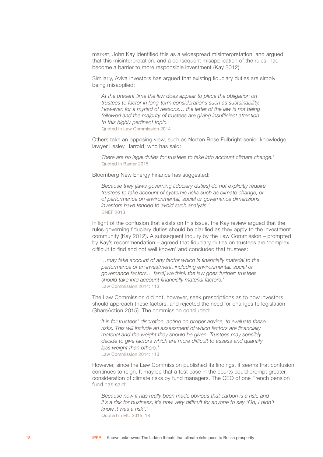market, John Kay identified this as a widespread misinterpretation, and argued that this misinterpretation, and a consequent misapplication of the rules, had become a barrier to more responsible investment (Kay 2012).

Similarly, Aviva Investors has argued that existing fiduciary duties are simply being misapplied:

*'At the present time the law does appear to place the obligation on trustees to factor in long-term considerations such as sustainability. However, for a myriad of reasons… the letter of the law is not being followed and the majority of trustees are giving insufficient attention to this highly pertinent topic.'*  Quoted in Law Commission 2014

Others take an opposing view, such as Norton Rose Fulbright senior knowledge lawyer Lesley Harrold, who has said:

*'There are no legal duties for trustees to take into account climate change.'* Quoted in Baxter 2015

Bloomberg New Energy Finance has suggested:

*'Because they [laws governing fiduciary duties] do not explicitly require trustees to take account of systemic risks such as climate change, or of performance on environmental, social or governance dimensions, investors have tended to avoid such analysis.'* BNEF 2013

In light of the confusion that exists on this issue, the Kay review argued that the rules governing fiduciary duties should be clarified as they apply to the investment community (Kay 2012). A subsequent inquiry by the Law Commission – prompted by Kay's recommendation – agreed that fiduciary duties on trustees are 'complex, difficult to find and not well known' and concluded that trustees:

*'…may take account of any factor which is financially material to the performance of an investment, including environmental, social or governance factors… [and] we think the law goes further: trustees should take into account financially material factors.'* Law Commission 2014: 113

The Law Commission did not, however, seek prescriptions as to how investors should approach these factors, and rejected the need for changes to legislation (ShareAction 2015). The commission concluded:

*'It is for trustees' discretion, acting on proper advice, to evaluate these risks. This will include an assessment of which factors are financially material and the weight they should be given. Trustees may sensibly decide to give factors which are more difficult to assess and quantify less weight than others.'* Law Commission 2014: 113

However, since the Law Commission published its findings, it seems that confusion continues to reign. It may be that a test case in the courts could prompt greater consideration of climate risks by fund managers. The CEO of one French pension fund has said:

*'Because now it has really been made obvious that carbon is a risk, and it's a risk for business, it's now very difficult for anyone to say "Oh, I didn't know it was a risk".'*  Quoted in EIU 2015: 18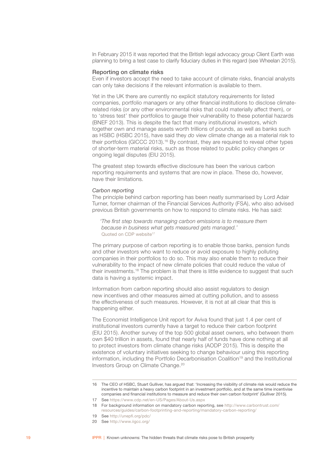In February 2015 it was reported that the British legal advocacy group Client Earth was planning to bring a test case to clarify fiduciary duties in this regard (see Wheelan 2015).

#### Reporting on climate risks

Even if investors accept the need to take account of climate risks, financial analysts can only take decisions if the relevant information is available to them.

Yet in the UK there are currently no explicit statutory requirements for listed companies, portfolio managers or any other financial institutions to disclose climaterelated risks (or any other environmental risks that could materially affect them), or to 'stress test' their portfolios to gauge their vulnerability to these potential hazards (BNEF 2013). This is despite the fact that many institutional investors, which together own and manage assets worth trillions of pounds, as well as banks such as HSBC (HSBC 2015), have said they *do* view climate change as a material risk to their portfolios (GICCC 2013).16 By contrast, they are required to reveal other types of shorter-term material risks, such as those related to public policy changes or ongoing legal disputes (EIU 2015).

The greatest step towards effective disclosure has been the various carbon reporting requirements and systems that are now in place. These do, however, have their limitations.

#### *Carbon reporting*

The principle behind carbon reporting has been neatly summarised by Lord Adair Turner, former chairman of the Financial Services Authority (FSA), who also advised previous British governments on how to respond to climate risks. He has said:

*'The first step towards managing carbon emissions is to measure them because in business what gets measured gets managed.'* Quoted on CDP website<sup>17</sup>

The primary purpose of carbon reporting is to enable those banks, pension funds and other investors who want to reduce or avoid exposure to highly polluting companies in their portfolios to do so. This may also enable them to reduce their vulnerability to the impact of new climate policies that could reduce the value of their investments.18 The problem is that there is little evidence to suggest that such data is having a systemic impact.

Information from carbon reporting should also assist regulators to design new incentives and other measures aimed at cutting pollution, and to assess the effectiveness of such measures. However, it is not at all clear that this is happening either.

The Economist Intelligence Unit report for Aviva found that just 1.4 per cent of institutional investors currently have a target to reduce their carbon footprint (EIU 2015). Another survey of the top 500 global asset owners, who between them own \$40 trillion in assets, found that nearly half of funds have done nothing at all to protect investors from climate change risks (AODP 2015). This is despite the existence of voluntary initiatives seeking to change behaviour using this reporting information, including the Portfolio Decarbonisation Coalition<sup>19</sup> and the Institutional Investors Group on Climate Change.<sup>20</sup>

20 See <http://www.iigcc.org/>

<sup>16</sup> The CEO of HSBC, Stuart Gulliver, has argued that: 'Increasing the visibility of climate risk would reduce the incentive to maintain a heavy carbon footprint in an investment portfolio, and at the same time incentivise companies and financial institutions to measure and reduce their own carbon footprint' (Gulliver 2015).

<sup>17</sup> See <https://www.cdp.net/en-US/Pages/About-Us.aspx>

<sup>18</sup> For background information on mandatory carbon reporting, see [http://www.carbontrust.com/](http://www.carbontrust.com/resources/guides/carbon-footprinting-and-reporting/mandatory-carbon-reporting/) [resources/guides/carbon-footprinting-and-reporting/mandatory-carbon-reporting/](http://www.carbontrust.com/resources/guides/carbon-footprinting-and-reporting/mandatory-carbon-reporting/)

<sup>19</sup> See <http://unepfi.org/pdc/>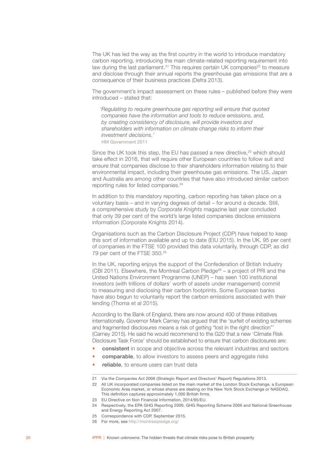The UK has led the way as the first country in the world to introduce mandatory carbon reporting, introducing the main climate-related reporting requirement into law during the last parliament.<sup>21</sup> This requires certain UK companies<sup>22</sup> to measure and disclose through their annual reports the greenhouse gas emissions that are a consequence of their business practices (Defra 2013).

The government's impact assessment on these rules – published before they were introduced – stated that:

*'Regulating to require greenhouse gas reporting will ensure that quoted companies have the information and tools to reduce emissions, and, by creating consistency of disclosure, will provide investors and shareholders with information on climate change risks to inform their investment decisions.'* HM Government 2011

Since the UK took this step, the EU has passed a new directive,<sup>23</sup> which should take effect in 2016, that will require other European countries to follow suit and ensure that companies disclose to their shareholders information relating to their environmental impact, including their greenhouse gas emissions. The US, Japan and Australia are among other countries that have also introduced similar carbon reporting rules for listed companies.<sup>24</sup>

In addition to this mandatory reporting, carbon reporting has taken place on a voluntary basis – and in varying degrees of detail – for around a decade. Still, a comprehensive study by *Corporate Knights* magazine last year concluded that only 39 per cent of the world's large listed companies disclose emissions information (Corporate Knights 2014).

Organisations such as the Carbon Disclosure Project (CDP) have helped to keep this sort of information available and up to date (EIU 2015). In the UK, 95 per cent of companies in the FTSE 100 provided this data voluntarily, through CDP, as did 79 per cent of the FTSE 350.25

In the UK, reporting enjoys the support of the Confederation of British Industry (CBI 2011). Elsewhere, the Montreal Carbon Pledge<sup>26</sup> – a project of PRI and the United Nations Environment Programme (UNEP) – has seen 100 institutional investors (with trillions of dollars' worth of assets under management) commit to measuring and disclosing their carbon footprints. Some European banks have also begun to voluntarily report the carbon emissions associated with their lending (Thoma et al 2015).

According to the Bank of England, there are now around 400 of these initiatives internationally. Governor Mark Carney has argued that the 'surfeit of existing schemes and fragmented disclosures means a risk of getting "lost in the right direction"' (Carney 2015). He said he would recommend to the G20 that a new 'Climate Risk Disclosure Task Force' should be established to ensure that carbon disclosures are:

- consistent in scope and objective across the relevant industries and sectors
- **comparable**, to allow investors to assess peers and aggregate risks
- reliable, to ensure users can trust data

<sup>21</sup> Via the Companies Act 2006 (Strategic Report and Directors' Report) Regulations 2013.

<sup>22</sup> All UK incorporated companies listed on the main market of the London Stock Exchange, a European Economic Area market, or whose shares are dealing on the New York Stock Exchange or NASDAQ. This definition captures approximately 1,000 British firms.

<sup>23</sup> EU Directive on Non Financial Information, 2014/95/EU.

<sup>24</sup> Respectively, the EPA GHG Reporting 2009, GHG Reporting Scheme 2006 and National Greenhouse and Energy Reporting Act 2007.

<sup>25</sup> Correspondence with CDP, September 2015.

<sup>26</sup> For more, see <http://montrealpledge.org/>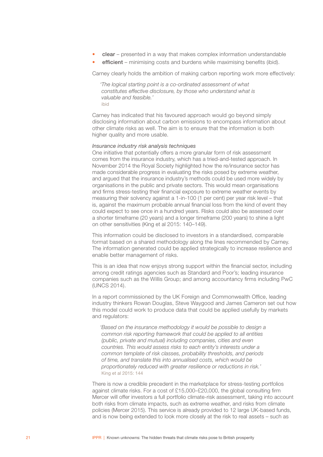- clear presented in a way that makes complex information understandable
- efficient minimising costs and burdens while maximising benefits (ibid).

Carney clearly holds the ambition of making carbon reporting work more effectively:

*'The logical starting point is a co-ordinated assessment of what constitutes effective disclosure, by those who understand what is valuable and feasible.'* ibid

Carney has indicated that his favoured approach would go beyond simply disclosing information about carbon emissions to encompass information about other climate risks as well. The aim is to ensure that the information is both higher quality and more usable.

#### *Insurance industry risk analysis techniques*

One initiative that potentially offers a more granular form of risk assessment comes from the insurance industry, which has a tried-and-tested approach. In November 2014 the Royal Society highlighted how the re/insurance sector has made considerable progress in evaluating the risks posed by extreme weather, and argued that the insurance industry's methods could be used more widely by organisations in the public and private sectors. This would mean organisations and firms stress-testing their financial exposure to extreme weather events by measuring their solvency against a 1-in-100 (1 per cent) per year risk level – that is, against the maximum probable annual financial loss from the kind of event they could expect to see once in a hundred years. Risks could also be assessed over a shorter timeframe (20 years) and a longer timeframe (200 years) to shine a light on other sensitivities (King et al 2015: 140–149).

This information could be disclosed to investors in a standardised, comparable format based on a shared methodology along the lines recommended by Carney. The information generated could be applied strategically to increase resilience and enable better management of risks.

This is an idea that now enjoys strong support within the financial sector, including among credit ratings agencies such as Standard and Poor's; leading insurance companies such as the Willis Group; and among accountancy firms including PwC (UNCS 2014).

In a report commissioned by the UK Foreign and Commonwealth Office, leading industry thinkers Rowan Douglas, Steve Waygood and James Cameron set out how this model could work to produce data that could be applied usefully by markets and regulators:

*'Based on the insurance methodology it would be possible to design a common risk reporting framework that could be applied to all entities (public, private and mutual) including companies, cities and even countries. This would assess risks to each entity's interests under a common template of risk classes, probability thresholds, and periods of time, and translate this into annualised costs, which would be proportionately reduced with greater resilience or reductions in risk.'* King et al 2015: 144

There is now a credible precedent in the marketplace for stress-testing portfolios against climate risks. For a cost of £15,000–£20,000, the global consulting firm Mercer will offer investors a full portfolio climate-risk assessment, taking into account both risks from climate impacts, such as extreme weather, and risks from climate policies (Mercer 2015). This service is already provided to 12 large UK-based funds, and is now being extended to look more closely at the risk to real assets – such as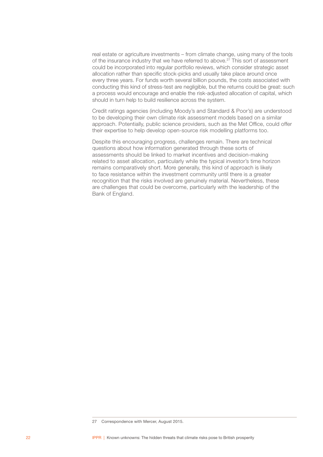real estate or agriculture investments – from climate change, using many of the tools of the insurance industry that we have referred to above.27 This sort of assessment could be incorporated into regular portfolio reviews, which consider strategic asset allocation rather than specific stock-picks and usually take place around once every three years. For funds worth several billion pounds, the costs associated with conducting this kind of stress-test are negligible, but the returns could be great: such a process would encourage and enable the risk-adjusted allocation of capital, which should in turn help to build resilience across the system.

Credit ratings agencies (including Moody's and Standard & Poor's) are understood to be developing their own climate risk assessment models based on a similar approach. Potentially, public science providers, such as the Met Office, could offer their expertise to help develop open-source risk modelling platforms too.

Despite this encouraging progress, challenges remain. There are technical questions about how information generated through these sorts of assessments should be linked to market incentives and decision-making related to asset allocation, particularly while the typical investor's time horizon remains comparatively short. More generally, this kind of approach is likely to face resistance within the investment community until there is a greater recognition that the risks involved are genuinely material. Nevertheless, these are challenges that could be overcome, particularly with the leadership of the Bank of England.

<sup>27</sup> Correspondence with Mercer, August 2015.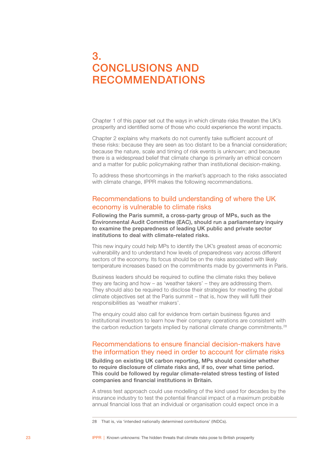# <span id="page-24-0"></span>3. CONCLUSIONS AND RECOMMENDATIONS

Chapter 1 of this paper set out the ways in which climate risks threaten the UK's prosperity and identified some of those who could experience the worst impacts.

Chapter 2 explains why markets do not currently take sufficient account of these risks: because they are seen as too distant to be a financial consideration; because the nature, scale and timing of risk events is unknown; and because there is a widespread belief that climate change is primarily an ethical concern and a matter for public policymaking rather than institutional decision-making.

To address these shortcomings in the market's approach to the risks associated with climate change, IPPR makes the following recommendations.

# Recommendations to build understanding of where the UK economy is vulnerable to climate risks

Following the Paris summit, a cross-party group of MPs, such as the Environmental Audit Committee (EAC), should run a parliamentary inquiry to examine the preparedness of leading UK public and private sector institutions to deal with climate-related risks.

This new inquiry could help MPs to identify the UK's greatest areas of economic vulnerability and to understand how levels of preparedness vary across different sectors of the economy. Its focus should be on the risks associated with likely temperature increases based on the commitments made by governments in Paris.

Business leaders should be required to outline the climate risks they believe they are facing and how – as 'weather takers' – they are addressing them. They should also be required to disclose their strategies for meeting the global climate objectives set at the Paris summit – that is, how they will fulfil their responsibilities as 'weather makers'.

The enquiry could also call for evidence from certain business figures and institutional investors to learn how their company operations are consistent with the carbon reduction targets implied by national climate change commitments.<sup>28</sup>

# Recommendations to ensure financial decision-makers have the information they need in order to account for climate risks

Building on existing UK carbon reporting, MPs should consider whether to require disclosure of climate risks and, if so, over what time period. This could be followed by regular climate-related stress testing of listed companies and financial institutions in Britain.

A stress test approach could use modelling of the kind used for decades by the insurance industry to test the potential financial impact of a maximum probable annual financial loss that an individual or organisation could expect once in a

<sup>28</sup> That is, via 'intended nationally determined contributions' (INDCs).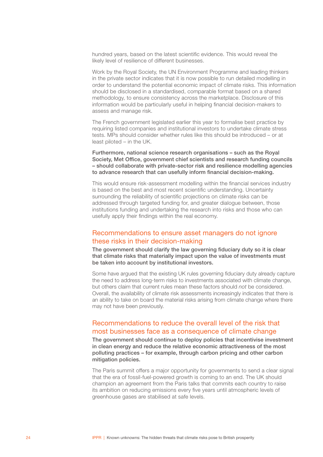<span id="page-25-0"></span>hundred years, based on the latest scientific evidence. This would reveal the likely level of resilience of different businesses.

Work by the Royal Society, the UN Environment Programme and leading thinkers in the private sector indicates that it is now possible to run detailed modelling in order to understand the potential economic impact of climate risks. This information should be disclosed in a standardised, comparable format based on a shared methodology, to ensure consistency across the marketplace. Disclosure of this information would be particularly useful in helping financial decision-makers to assess and manage risk.

The French government legislated earlier this year to formalise best practice by requiring listed companies and institutional investors to undertake climate stress tests. MPs should consider whether rules like this should be introduced – or at least piloted – in the UK.

Furthermore, national science research organisations – such as the Royal Society, Met Office, government chief scientists and research funding councils – should collaborate with private-sector risk and resilience modelling agencies to advance research that can usefully inform financial decision-making.

This would ensure risk-assessment modelling within the financial services industry is based on the best and most recent scientific understanding. Uncertainty surrounding the reliability of scientific projections on climate risks can be addressed through targeted funding for, and greater dialogue between, those institutions funding and undertaking the research into risks and those who can usefully apply their findings within the real economy.

## Recommendations to ensure asset managers do not ignore these risks in their decision-making

The government should clarify the law governing fiduciary duty so it is clear that climate risks that materially impact upon the value of investments must be taken into account by institutional investors.

Some have argued that the existing UK rules governing fiduciary duty already capture the need to address long-term risks to investments associated with climate change, but others claim that current rules mean these factors should *not* be considered. Overall, the availability of climate risk assessments increasingly indicates that there is an ability to take on board the material risks arising from climate change where there may not have been previously.

# Recommendations to reduce the overall level of the risk that most businesses face as a consequence of climate change

The government should continue to deploy policies that incentivise investment in clean energy and reduce the relative economic attractiveness of the most polluting practices – for example, through carbon pricing and other carbon mitigation policies.

The Paris summit offers a major opportunity for governments to send a clear signal that the era of fossil-fuel-powered growth is coming to an end. The UK should champion an agreement from the Paris talks that commits each country to raise its ambition on reducing emissions every five years until atmospheric levels of greenhouse gases are stabilised at safe levels.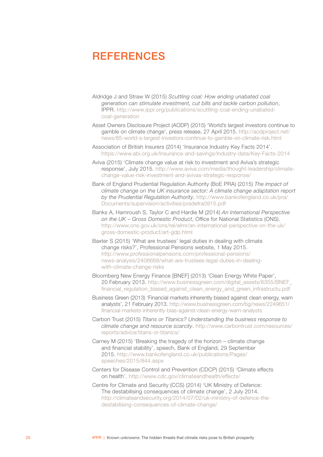# <span id="page-26-0"></span>**REFERENCES**

- Aldridge J and Straw W (2015) *Scuttling coal: How ending unabated coal generation can stimulate investment, cut bills and tackle carbon pollution*, IPPR. [http://www.ippr.org/publications/scuttling-coal-ending-unabated](http://www.ippr.org/publications/scuttling-coal-ending-unabated-coal-generation)[coal-generation](http://www.ippr.org/publications/scuttling-coal-ending-unabated-coal-generation)
- Asset Owners Disclosure Project (AODP) (2015) 'World's largest investors continue to gamble on climate change', press release, 27 April 2015. [http://aodproject.net/](http://aodproject.net/news/85-world-s-largest-investors-continue-to-gamble-on-climate-risk.html) [news/85-world-s-largest-investors-continue-to-gamble-on-climate-risk.html](http://aodproject.net/news/85-world-s-largest-investors-continue-to-gamble-on-climate-risk.html)
- Association of British Insurers (2014) 'Insurance Industry Key Facts 2014'. <https://www.abi.org.uk/Insurance-and-savings/Industry-data/Key-Facts-2014>
- Aviva (2015) 'Climate change value at risk to investment and Aviva's strategic response', July 2015. [http://www.aviva.com/media/thought-leadership/climate](http://www.aviva.com/media/thought-leadership/climate-change-value-risk-investment-and-avivas-strategic-response/)[change-value-risk-investment-and-avivas-strategic-response/](http://www.aviva.com/media/thought-leadership/climate-change-value-risk-investment-and-avivas-strategic-response/)
- Bank of England Prudential Regulation Authority (BoE PRA) (2015) *The impact of climate change on the UK insurance sector: A climate change adaptation report by the Prudential Regulation Authority*. [http://www.bankofengland.co.uk/pra/](http://www.bankofengland.co.uk/pra/Documents/supervision/activities/pradefra0915.pdf) [Documents/supervision/activities/pradefra0915.pdf](http://www.bankofengland.co.uk/pra/Documents/supervision/activities/pradefra0915.pdf)
- Banks A, Hamroush S, Taylor C and Hardie M (2014) *An International Perspective on the UK – Gross Domestic Product*, Office for National Statistics (ONS). [http://www.ons.gov.uk/ons/rel/elmr/an-international-perspective-on-the-uk/](http://www.ons.gov.uk/ons/rel/elmr/an-international-perspective-on-the-uk/gross-domestic-product/art-gdp.html) [gross-domestic-product/art-gdp.html](http://www.ons.gov.uk/ons/rel/elmr/an-international-perspective-on-the-uk/gross-domestic-product/art-gdp.html)
- Baxter S (2015) 'What are trustees' legal duties in dealing with climate change risks?', Professional Pensions website, 1 May 2015. [http://www.professionalpensions.com/professional-pensions/](http://www.professionalpensions.com/professional-pensions/news-analysis/2406668/what-are-trustees-legal-duties-in-dealing-with-climate-change-risks) [news-analysis/2406668/what-are-trustees-legal-duties-in-dealing](http://www.professionalpensions.com/professional-pensions/news-analysis/2406668/what-are-trustees-legal-duties-in-dealing-with-climate-change-risks)[with-climate-change-risks](http://www.professionalpensions.com/professional-pensions/news-analysis/2406668/what-are-trustees-legal-duties-in-dealing-with-climate-change-risks)
- Bloomberg New Energy Finance [BNEF] (2013) 'Clean Energy White Paper', 20 February 2013. [http://www.businessgreen.com/digital\\_assets/6355/BNEF\\_](http://www.businessgreen.com/digital_assets/6355/BNEF_financial_regulation_biased_against_clean_energy_and_green_infrastructu.pdf) financial regulation biased against clean energy and green infrastructu.pdf
- Business Green (2013) 'Financial markets inherently biased against clean energy, warn analysts', 21 February 2013. [http://www.businessgreen.com/bg/news/2249651/](http://www.businessgreen.com/bg/news/2249651/financial-markets-inherently-bias-against-clean-energy-warn-analysts) [financial-markets-inherently-bias-against-clean-energy-warn-analysts](http://www.businessgreen.com/bg/news/2249651/financial-markets-inherently-bias-against-clean-energy-warn-analysts)
- Carbon Trust (2015) *Titans or Titanics? Understanding the business response to climate change and resource scarcity*. [http://www.carbontrust.com/resources/](http://www.carbontrust.com/resources/reports/advice/titans-or-titanics/) [reports/advice/titans-or-titanics/](http://www.carbontrust.com/resources/reports/advice/titans-or-titanics/)
- Carney M (2015) 'Breaking the tragedy of the horizon climate change and financial stability', speech, Bank of England, 29 September 2015. [http://www.bankofengland.co.uk/publications/Pages/](http://www.bankofengland.co.uk/publications/Pages/speeches/2015/844.aspx) [speeches/2015/844.aspx](http://www.bankofengland.co.uk/publications/Pages/speeches/2015/844.aspx)
- Centers for Disease Control and Prevention (CDCP) (2015) 'Climate effects on health'.<http://www.cdc.gov/climateandhealth/effects/>
- Centre for Climate and Security (CCS) (2014) 'UK Ministry of Defence: The destabilising consequences of climate change', 2 July 2014. [http://climateandsecurity.org/2014/07/02/uk-ministry-of-defence-the](http://climateandsecurity.org/2014/07/02/uk-ministry-of-defence-the-destabilising-consequences-of-climate-change/)[destabilising-consequences-of-climate-change/](http://climateandsecurity.org/2014/07/02/uk-ministry-of-defence-the-destabilising-consequences-of-climate-change/)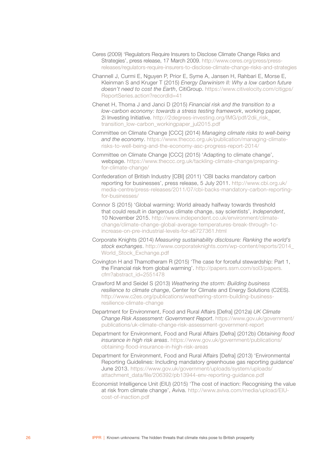- Ceres (2009) 'Regulators Require Insurers to Disclose Climate Change Risks and Strategies', press release, 17 March 2009. [http://www.ceres.org/press/press](http://www.ceres.org/press/press-releases/regulators-require-insurers-to-disclose-climate-change-risks-and-strategies)[releases/regulators-require-insurers-to-disclose-climate-change-risks-and-strategies](http://www.ceres.org/press/press-releases/regulators-require-insurers-to-disclose-climate-change-risks-and-strategies)
- Channell J, Curmi E, Nguyen P, Prior E, Syme A, Jansen H, Rahbari E, Morse E, Kleinman S and Kruger T (2015) *Energy Darwinism II: Why a low carbon future doesn't need to cost the Earth*, CitiGroup. [https://www.citivelocity.com/citigps/](https://www.citivelocity.com/citigps/ReportSeries.action?recordId=41) [ReportSeries.action?recordId=41](https://www.citivelocity.com/citigps/ReportSeries.action?recordId=41)
- Chenet H, Thoma J and Janci D (2015) *Financial risk and the transition to a low-carbon economy: towards a stress testing framework*, working paper, 2i Investing Initiative. [http://2degrees-investing.org/IMG/pdf/2dii\\_risk\\_](http://2degrees-investing.org/IMG/pdf/2dii_risk_transition_low-carbon_workingpaper_jul2015.pdf) [transition\\_low-carbon\\_workingpaper\\_jul2015.pdf](http://2degrees-investing.org/IMG/pdf/2dii_risk_transition_low-carbon_workingpaper_jul2015.pdf)
- Committee on Climate Change [CCC] (2014) *Managing climate risks to well-being and the economy*. [https://www.theccc.org.uk/publication/managing-climate](https://www.theccc.org.uk/publication/managing-climate-risks-to-well-being-and-the-economy-asc-progress-report-2014/)[risks-to-well-being-and-the-economy-asc-progress-report-2014/](https://www.theccc.org.uk/publication/managing-climate-risks-to-well-being-and-the-economy-asc-progress-report-2014/)
- Committee on Climate Change [CCC] (2015) 'Adapting to climate change', webpage. [https://www.theccc.org.uk/tackling-climate-change/preparing](https://www.theccc.org.uk/tackling-climate-change/preparing-for-climate-change/)[for-climate-change/](https://www.theccc.org.uk/tackling-climate-change/preparing-for-climate-change/)
- Confederation of British Industry [CBI] (2011) 'CBI backs mandatory carbon reporting for businesses', press release, 5 July 2011. [http://www.cbi.org.uk/](http://www.cbi.org.uk/media-centre/press-releases/2011/07/cbi-backs-mandatory-carbon-reporting-for-businesses/) [media-centre/press-releases/2011/07/cbi-backs-mandatory-carbon-reporting](http://www.cbi.org.uk/media-centre/press-releases/2011/07/cbi-backs-mandatory-carbon-reporting-for-businesses/)[for-businesses/](http://www.cbi.org.uk/media-centre/press-releases/2011/07/cbi-backs-mandatory-carbon-reporting-for-businesses/)
- Connor S (2015) 'Global warming: World already halfway towards threshold that could result in dangerous climate change, say scientists', *Independent*, 10 November 2015. [http://www.independent.co.uk/environment/climate](http://www.independent.co.uk/environment/climate-change/climate-change-global-average-temperatures-break-through-1c-increase-on-pre-industrial-levels-for-a6727361.html)[change/climate-change-global-average-temperatures-break-through-1c](http://www.independent.co.uk/environment/climate-change/climate-change-global-average-temperatures-break-through-1c-increase-on-pre-industrial-levels-for-a6727361.html)[increase-on-pre-industrial-levels-for-a6727361.html](http://www.independent.co.uk/environment/climate-change/climate-change-global-average-temperatures-break-through-1c-increase-on-pre-industrial-levels-for-a6727361.html)
- Corporate Knights (2014) *Measuring sustainability disclosure: Ranking the world's stock exchanges*. [http://www.corporateknights.com/wp-content/reports/2014\\_](http://www.corporateknights.com/wp-content/reports/2014_World_Stock_Exchange.pdf) World Stock Exchange.pdf
- Covington H and Thamotheram R (2015) 'The case for forceful stewardship: Part 1, the Financial risk from global warming'. [http://papers.ssrn.com/sol3/papers.](http://papers.ssrn.com/sol3/papers.cfm?abstract_id=2551478) [cfm?abstract\\_id=2551478](http://papers.ssrn.com/sol3/papers.cfm?abstract_id=2551478)
- Crawford M and Seidel S (2013) *Weathering the storm: Building business resilience to climate change*, Center for Climate and Energy Solutions (C2ES). [http://www.c2es.org/publications/weathering-storm-building-business](http://www.c2es.org/publications/weathering-storm-building-business-resilience-climate-change)[resilience-climate-change](http://www.c2es.org/publications/weathering-storm-building-business-resilience-climate-change)
- Department for Environment, Food and Rural Affairs [Defra] (2012a) *UK Climate Change Risk Assessment: Government Report*. [https://www.gov.uk/government/](https://www.gov.uk/government/publications/uk-climate-change-risk-assessment-government-report) [publications/uk-climate-change-risk-assessment-government-report](https://www.gov.uk/government/publications/uk-climate-change-risk-assessment-government-report)
- Department for Environment, Food and Rural Affairs [Defra] (2012b) *Obtaining flood insurance in high risk areas*. [https://www.gov.uk/government/publications/](https://www.gov.uk/government/publications/obtaining-flood-insurance-in-high-risk-areas) [obtaining-flood-insurance-in-high-risk-areas](https://www.gov.uk/government/publications/obtaining-flood-insurance-in-high-risk-areas)
- Department for Environment, Food and Rural Affairs [Defra] (2013) 'Environmental Reporting Guidelines: Including mandatory greenhouse gas reporting guidance' June 2013. [https://www.gov.uk/government/uploads/system/uploads/](https://www.gov.uk/government/uploads/system/uploads/attachment_data/file/206392/pb13944-env-reporting-guidance.pdf) [attachment\\_data/file/206392/pb13944-env-reporting-guidance.pdf](https://www.gov.uk/government/uploads/system/uploads/attachment_data/file/206392/pb13944-env-reporting-guidance.pdf)
- Economist Intelligence Unit (EIU) (2015) 'The cost of inaction: Recognising the value at risk from climate change', Aviva. [http://www.aviva.com/media/upload/EIU](http://www.aviva.com/media/upload/EIU-cost-of-inaction.pdf)[cost-of-inaction.pdf](http://www.aviva.com/media/upload/EIU-cost-of-inaction.pdf)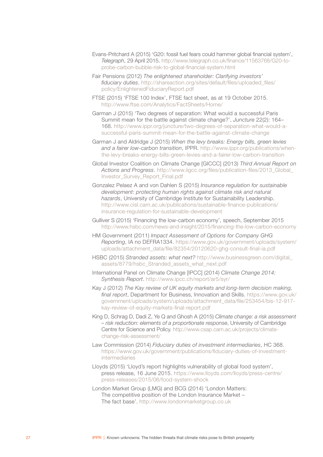- Evans-Pritchard A (2015) 'G20: fossil fuel fears could hammer global financial system', *Telegraph*, 29 April 2015. [http://www.telegraph.co.uk/finance/11563768/G20-to](http://www.telegraph.co.uk/finance/11563768/G20-to-probe-carbon-bubble-risk-to-global-financial-system.html)[probe-carbon-bubble-risk-to-global-financial-system.html](http://www.telegraph.co.uk/finance/11563768/G20-to-probe-carbon-bubble-risk-to-global-financial-system.html)
- Fair Pensions (2012) *The enlightened shareholder: Clarifying investors' fiduciary duties*. [http://shareaction.org/sites/default/files/uploaded\\_files/](http://shareaction.org/sites/default/files/uploaded_files/policy/EnlightenedFiduciaryReport.pdf) [policy/EnlightenedFiduciaryReport.pdf](http://shareaction.org/sites/default/files/uploaded_files/policy/EnlightenedFiduciaryReport.pdf)
- FTSE (2015) 'FTSE 100 Index', FTSE fact sheet, as at 19 October 2015. <http://www.ftse.com/Analytics/FactSheets/Home/>
- Garman J (2015) 'Two degrees of separation: What would a successful Paris Summit mean for the battle against climate change?', *Juncture* 22(2): 164– 168. [http://www.ippr.org/juncture/two-degrees-of-separation-what-would-a](http://www.ippr.org/juncture/two-degrees-of-separation-what-would-a-successful-paris-summit-mean-for-the-battle-against-climate-change)[successful-paris-summit-mean-for-the-battle-against-climate-change](http://www.ippr.org/juncture/two-degrees-of-separation-what-would-a-successful-paris-summit-mean-for-the-battle-against-climate-change)
- Garman J and Aldridge J (2015) *When the levy breaks: Energy bills, green levies and a fairer low-carbon transition*, IPPR. [http://www.ippr.org/publications/when](http://www.ippr.org/publications/when-the-levy-breaks-energy-bills-green-levies-and-a-fairer-low-carbon-transition)[the-levy-breaks-energy-bills-green-levies-and-a-fairer-low-carbon-transition](http://www.ippr.org/publications/when-the-levy-breaks-energy-bills-green-levies-and-a-fairer-low-carbon-transition)
- Global Investor Coalition on Climate Change [GICCC] (2013) *Third Annual Report on Actions and Progress*. [http://www.iigcc.org/files/publication-files/2013\\_Global\\_](http://www.iigcc.org/files/publication-files/2013_Global_Investor_Survey_Report_Final.pdf) [Investor\\_Survey\\_Report\\_Final.pdf](http://www.iigcc.org/files/publication-files/2013_Global_Investor_Survey_Report_Final.pdf)
- Gonzalez Pelaez A and von Dahlen S (2015) *Insurance regulation for sustainable development: protecting human rights against climate risk and natural hazards*, University of Cambridge Institute for Sustainability Leadership. [http://www.cisl.cam.ac.uk/publications/sustainable-finance-publications/](http://www.cisl.cam.ac.uk/publications/sustainable-finance-publications/insurance-regulation-for-sustainable-development) [insurance-regulation-for-sustainable-development](http://www.cisl.cam.ac.uk/publications/sustainable-finance-publications/insurance-regulation-for-sustainable-development)
- Gulliver S (2015) 'Financing the low-carbon economy', speech, September 2015 <http://www.hsbc.com/news-and-insight/2015/financing-the-low-carbon-economy>
- HM Government (2011) *Impact Assessment of Options for Company GHG Reporting*, IA no DEFRA1334. [https://www.gov.uk/government/uploads/system/](https://www.gov.uk/government/uploads/system/uploads/attachment_data/file/82354/20120620-ghg-consult-final-ia.pdf) [uploads/attachment\\_data/file/82354/20120620-ghg-consult-final-ia.pdf](https://www.gov.uk/government/uploads/system/uploads/attachment_data/file/82354/20120620-ghg-consult-final-ia.pdf)
- HSBC (2015) *Stranded assets: what next?* [http://www.businessgreen.com/digital\\_](http://www.businessgreen.com/digital_assets/8779/hsbc_Stranded_assets_what_next.pdf) [assets/8779/hsbc\\_Stranded\\_assets\\_what\\_next.pdf](http://www.businessgreen.com/digital_assets/8779/hsbc_Stranded_assets_what_next.pdf)
- International Panel on Climate Change [IPCC] (2014) *Climate Change 2014: Synthesis Report*.<http://www.ipcc.ch/report/ar5/syr/>
- Kay J (2012) *The Kay review of UK equity markets and long-term decision making, final report*, Department for Business, Innovation and Skills. [https://www.gov.uk/](https://www.gov.uk/government/uploads/system/uploads/attachment_data/file/253454/bis-12-917-kay-review-of-equity-markets-final-report.pdf) [government/uploads/system/uploads/attachment\\_data/file/253454/bis-12-917](https://www.gov.uk/government/uploads/system/uploads/attachment_data/file/253454/bis-12-917-kay-review-of-equity-markets-final-report.pdf) [kay-review-of-equity-markets-final-report.pdf](https://www.gov.uk/government/uploads/system/uploads/attachment_data/file/253454/bis-12-917-kay-review-of-equity-markets-final-report.pdf)
- King D, Schrag D, Dadi Z, Ye Q and Ghosh A (2015) *Climate change: a risk assessment – risk reduction: elements of a proportionate response*, University of Cambridge Centre for Science and Policy. [http://www.csap.cam.ac.uk/projects/climate](http://www.csap.cam.ac.uk/projects/climate-change-risk-assessment/)[change-risk-assessment/](http://www.csap.cam.ac.uk/projects/climate-change-risk-assessment/)
- Law Commission (2014) *Fiduciary duties of investment intermediaries*, HC 368. [https://www.gov.uk/government/publications/fiduciary-duties-of-investment](https://www.gov.uk/government/publications/fiduciary-duties-of-investment-intermediaries)[intermediaries](https://www.gov.uk/government/publications/fiduciary-duties-of-investment-intermediaries)
- Lloyds (2015) 'Lloyd's report highlights vulnerability of global food system', press release, 16 June 2015. [https://www.lloyds.com/lloyds/press-centre/](https://www.lloyds.com/lloyds/press-centre/press-releases/2015/06/food-system-shock) [press-releases/2015/06/food-system-shock](https://www.lloyds.com/lloyds/press-centre/press-releases/2015/06/food-system-shock)
- London Market Group (LMG) and BCG (2014) 'London Matters: The competitive position of the London Insurance Market – The fact base'. <http://www.londonmarketgroup.co.uk>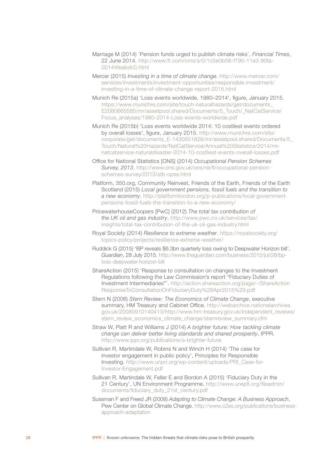- Marriage M (2014) 'Pension funds urged to publish climate risks', *Financial Times*, 22 June 2014. [http://www.ft.com/cms/s/0/1c5e0b58-f795-11e3-90fa-](http://www.ft.com/cms/s/0/1c5e0b58-f795-11e3-90fa-00144feabdc0.html)[00144feabdc0.html](http://www.ft.com/cms/s/0/1c5e0b58-f795-11e3-90fa-00144feabdc0.html)
- Mercer (2015) *Investing in a time of climate change*. [http://www.mercer.com/](http://www.mercer.com/services/investments/investment-opportunities/responsible-investment/investing-in-a-time-of-climate-change-report-2015.html) [services/investments/investment-opportunities/responsible-investment/](http://www.mercer.com/services/investments/investment-opportunities/responsible-investment/investing-in-a-time-of-climate-change-report-2015.html) [investing-in-a-time-of-climate-change-report-2015.html](http://www.mercer.com/services/investments/investment-opportunities/responsible-investment/investing-in-a-time-of-climate-change-report-2015.html)
- Munich Re (2015a) 'Loss events worldwide, 1980–2014', figure, January 2015. [https://www.munichre.com/site/touch-naturalhazards/get/documents\\_](https://www.munichre.com/site/touch-naturalhazards/get/documents_E2080665585/mr/assetpool.shared/Documents/5_Touch/_NatCatService/Focus_analyses/1980-2014-Loss-events-worldwide.pdf) [E2080665585/mr/assetpool.shared/Documents/5\\_Touch/\\_NatCatService/](https://www.munichre.com/site/touch-naturalhazards/get/documents_E2080665585/mr/assetpool.shared/Documents/5_Touch/_NatCatService/Focus_analyses/1980-2014-Loss-events-worldwide.pdf) [Focus\\_analyses/1980-2014-Loss-events-worldwide.pdf](https://www.munichre.com/site/touch-naturalhazards/get/documents_E2080665585/mr/assetpool.shared/Documents/5_Touch/_NatCatService/Focus_analyses/1980-2014-Loss-events-worldwide.pdf)
- Munich Re (2015b) 'Loss events worldwide 2014: 10 costliest events ordered by overall losses', figure, January 2015. [http://www.munichre.com/site/](http://www.munichre.com/site/corporate/get/documents_E-1430851826/mr/assetpool.shared/Documents/5_Touch/Natural Hazards/NatCatService/Annual Statistics/2014/mr-natcatservice-naturaldisaster-2014-10-costliest-events-overall-losses.pdf) [corporate/get/documents\\_E-1430851826/mr/assetpool.shared/Documents/5\\_](http://www.munichre.com/site/corporate/get/documents_E-1430851826/mr/assetpool.shared/Documents/5_Touch/Natural Hazards/NatCatService/Annual Statistics/2014/mr-natcatservice-naturaldisaster-2014-10-costliest-events-overall-losses.pdf) [Touch/Natural%20Hazards/NatCatService/Annual%20Statistics/2014/mr](http://www.munichre.com/site/corporate/get/documents_E-1430851826/mr/assetpool.shared/Documents/5_Touch/Natural Hazards/NatCatService/Annual Statistics/2014/mr-natcatservice-naturaldisaster-2014-10-costliest-events-overall-losses.pdf)[natcatservice-naturaldisaster-2014-10-costliest-events-overall-losses.pdf](http://www.munichre.com/site/corporate/get/documents_E-1430851826/mr/assetpool.shared/Documents/5_Touch/Natural Hazards/NatCatService/Annual Statistics/2014/mr-natcatservice-naturaldisaster-2014-10-costliest-events-overall-losses.pdf)
- Office for National Statistics [ONS] (2014) *Occupational Pension Schemes Survey, 2013*. [http://www.ons.gov.uk/ons/rel/fi/occupational-pension](http://www.ons.gov.uk/ons/rel/fi/occupational-pension-schemes-survey/2013/stb-opss.html)[schemes-survey/2013/stb-opss.html](http://www.ons.gov.uk/ons/rel/fi/occupational-pension-schemes-survey/2013/stb-opss.html)
- Platform, 350.org, Community Reinvest, Friends of the Earth, Friends of the Earth Scotland (2015) *Local government pensions, fossil fuels and the transition to a new economy*. [http://platformlondon.org/p-publications/local-government](http://platformlondon.org/p-publications/local-government-pensions-fossil-fuels-the-transition-to-a-new-economy/)[pensions-fossil-fuels-the-transition-to-a-new-economy/](http://platformlondon.org/p-publications/local-government-pensions-fossil-fuels-the-transition-to-a-new-economy/)
- PricewaterhouseCoopers [PwC] (2012) *The total tax contribution of the UK oil and gas industry*. [http://www.pwc.co.uk/services/tax/](http://www.pwc.co.uk/services/tax/insights/total-tax-contribution-of-the-uk-oil-gas-industry.html) [insights/total-tax-contribution-of-the-uk-oil-gas-industry.html](http://www.pwc.co.uk/services/tax/insights/total-tax-contribution-of-the-uk-oil-gas-industry.html)
- Royal Society (2014) *Resilience to extreme weather*. [https://royalsociety.org/](https://royalsociety.org/topics-policy/projects/resilience-extreme-weather/) [topics-policy/projects/resilience-extreme-weather/](https://royalsociety.org/topics-policy/projects/resilience-extreme-weather/)
- Ruddick G (2015) 'BP reveals \$6.3bn quarterly loss owing to Deepwater Horizon bill', *Guardian*, 28 July 2015. [http://www.theguardian.com/business/2015/jul/28/bp](http://www.theguardian.com/business/2015/jul/28/bp-loss-deepwater-horizon-bill)[loss-deepwater-horizon-bill](http://www.theguardian.com/business/2015/jul/28/bp-loss-deepwater-horizon-bill)
- ShareAction (2015) 'Response to consultation on changes to the Investment Regulations following the Law Commission's report "Fiduciary Duties of Investment Intermediaries"'. [http://action.shareaction.org/page/-/ShareAction](http://action.shareaction.org/page/-/ShareActionResponseToConsultationOnFiduciaryDuty%28Apr2015%29.pdf) [ResponseToConsultationOnFiduciaryDuty%28Apr2015%29.pdf](http://action.shareaction.org/page/-/ShareActionResponseToConsultationOnFiduciaryDuty%28Apr2015%29.pdf)
- Stern N (2006) *Stern Review: The Economics of Climate Change*, executive summary, HM Treasury and Cabinet Office. [http://webarchive.nationalarchives.](http://webarchive.nationalarchives.gov.uk/20080910140413/http://www.hm-treasury.gov.uk/independent_reviews/stern_review_economics_climate_change/sternreview_summary.cfm) [gov.uk/20080910140413/http://www.hm-treasury.gov.uk/independent\\_reviews/](http://webarchive.nationalarchives.gov.uk/20080910140413/http://www.hm-treasury.gov.uk/independent_reviews/stern_review_economics_climate_change/sternreview_summary.cfm) [stern\\_review\\_economics\\_climate\\_change/sternreview\\_summary.cfm](http://webarchive.nationalarchives.gov.uk/20080910140413/http://www.hm-treasury.gov.uk/independent_reviews/stern_review_economics_climate_change/sternreview_summary.cfm)
- Straw W, Platt R and Williams J (2014) *A brighter future: How tackling climate change can deliver better living standards and shared prosperity*, IPPR. <http://www.ippr.org/publications/a-brighter-future>
- Sullivan R, Martindale W, Robins N and Winch H (2014) 'The case for investor engagement in public policy', Principles for Responsible Investing. [http://www.unpri.org/wp-content/uploads/PRI\\_Case-for-](http://www.unpri.org/wp-content/uploads/PRI_Case-for-Investor-Engagement.pdf)[Investor-Engagement.pdf](http://www.unpri.org/wp-content/uploads/PRI_Case-for-Investor-Engagement.pdf)
- Sullivan R, Martindale W, Feller E and Bordon A (2015) 'Fiduciary Duty in the 21 Century', UN Environment Programme. [http://www.unepfi.org/fileadmin/](http://www.unepfi.org/fileadmin/documents/fiduciary_duty_21st_century.pdf) [documents/fiduciary\\_duty\\_21st\\_century.pdf](http://www.unepfi.org/fileadmin/documents/fiduciary_duty_21st_century.pdf)
- Sussman F and Freed JR (2008) *Adapting to Climate Change: A Business Approach*, Pew Center on Global Climate Change. [http://www.c2es.org/publications/business](http://www.c2es.org/publications/business-approach-adaptation)[approach-adaptation](http://www.c2es.org/publications/business-approach-adaptation)